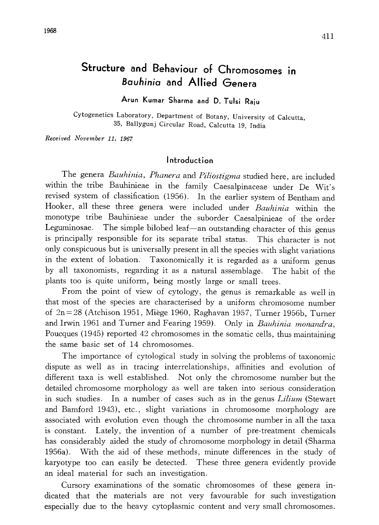# Structure and Behaviour of Chromosomes in Bauhinia and Allied Genera

# Arun Kumar Sharma and D. Tulsi Raju

Cytogenetics Laboratory, Department of Botany, University of Calcutta, , Ballygunj Circular Road, Calcutta 19, India

Received November 11, 1967

#### Introduction

The genera Bauhinia, Phanera and Piliostigma studied here, are included within the tribe Bauhinieae in the family Caesalpinaceae under De Wit's revised system of classification (1956). In the earlier system of Bentham and Hooker, all these three genera were included under Bauhinia within the monotype tribe Bauhinieae under the suborder Caesalpinieae of the order Leguminosae. The simple bilobed leaf—an outstanding character of this genus is principally responsible for its separate tribal status. This character is not only conspicuous but is universally present in all the species with slight variations in the extent of lobation. Taxonomically it is regarded as a uniform genus by all taxonomists, regarding it as a natural assemblage. The habit of the plants too is quite uniform, being mostly large or small trees.

From the point of view of cytology, the genus is remarkable as well in that most of the species are characterised by a uniform chromosome number of 2n=28 (Atchison 1951, Miege 1960, Raghavan 1957, Turner 1956b, Turner and Irwin 1961 and Turner and Fearing 1959). Only in Bauhinia monandra, Poucques (1945) reported 42 chromosomes in the somatic cells, thus maintaining the same basic set of 14 chromosomes.

The importance of cytological study in solving the problems of taxonomic dispute as well as in tracing interrelationships, affinities and evolution of different taxa is well established. Not only the chromosome number but the detailed chromosome morphology as well are taken into serious consideration in such studies. In a number of cases such as in the genus Lilium (Stewart and Bamford 1943), etc., slight variations in chromosome morphology are associated with evolution even though the chromosome number in all the taxa is constant. Lately, the invention of a number of pre-treatment chemicals has considerably aided the study of chromosome morphology in detail (Sharma 1956a). With the aid of these methods, minute differences in the study of karyotype too can easily be detected. These three genera evidently provide an ideal material for such an investigation.

Cursory examinations of the somatic chromosomes of these genera in dicated that the materials are not very favourable for such investigation especially due to the heavy cytoplasmic content and very small chromosomes.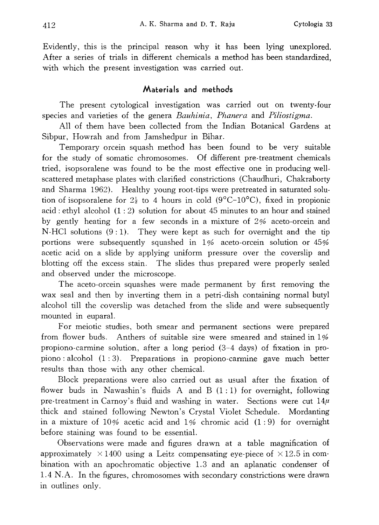Evidently, this is the principal reason why it has been lying unexplored. After a series of trials in different chemicals a method has been standardized, with which the present investigation was carried out.

### Materials and methods

The present cytological investigation was carried out on twenty-four species and varieties of the genera Bauhinia, Phanera and Piliostigma.

All of them have been collected from the Indian Botanical Gardens at Sibpur, Howrah and from Jamshedpur in Bihar.

Temporary orcein squash method has been found to be very suitable for the study of somatic chromosomes. Of different pre-treatment chemicals tried, isopsoralene was found to be the most effective one in producing well scattered metaphase plates with clarified constrictions (Chaudhuri, Chakraborty and Sharma 1962). Healthy young root-tips were pretreated in saturated solu tion of isopsoralene for  $2\frac{1}{2}$  to 4 hours in cold (9<sup>o</sup>C-10<sup>o</sup>C), fixed in propionic acid: ethyl alcohol  $(1:2)$  solution for about 45 minutes to an hour and stained by gently heating for a few seconds in a mixture of 2% aceto-orcein and N-HCl solutions (9:1). They were kept as such for overnight and the tip portions were subsequently squashed in 1% aceto-orcein solution or 45% acetic acid on a slide by applying uniform pressure over the coverslip and blotting off the excess stain. The slides thus prepared were properly sealed and observed under the microscope.

The aceto-orcein squashes were made permanent by first removing the wax seal and then by inverting them in a petri-dish containing normal butyl alcohol till the coverslip was detached from the slide and were subsequently mounted in euparal.

For meiotic studies, both smear and permanent sections were prepared from flower buds. Anthers of suitable size were smeared and stained in 1% propiono-carmine solution, after a long period (3-4 days) of fixation in pro piono: alcohol (1:3). Preparations in propiono-carmine gave much better results than those with any other chemical.

Block preparations were also carried out as usual after the fixation of flower buds in Nawashin's fluids A and B  $(1:1)$  for overnight, following pre-treatment in Carnoy's fluid and washing in water. Sections were cut  $14\mu$ thick and stained following Newton's Crystal Violet Schedule. Mordanting in a mixture of 10% acetic acid and 1% chromic acid  $(1:9)$  for overnight before staining was found to be essential.

Observations were made and figures drawn at a table magnification of approximately  $\times$ 1400 using a Leitz compensating eye-piece of  $\times$ 12.5 in combination with an apochromatic objective 1.3 and an aplanatic condenser of 1.4N. A. In the figures, chromosomes with secondary constrictions were drawn in outlines only.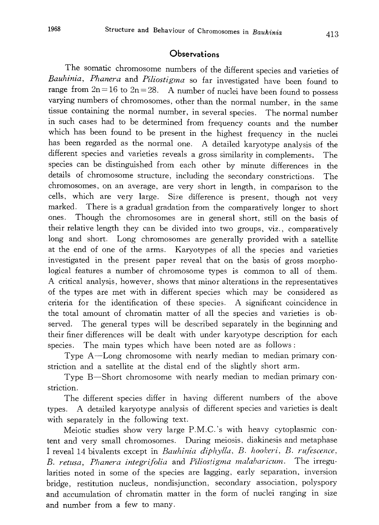#### Observations

The somatic chromosome numbers of the different species and varieties of Bauhinia, Phanera and Piliostigma so far investigated have been found to range from  $2n=16$  to  $2n=28$ . A number of nuclei have been found to possess varying numbers of chromosomes, other than the normal number , in the same tissue containing the normal number, in several species. The normal number in such cases had to be determined from frequency counts and the number which has been found to be present in the highest frequency in the nuclei has been regarded as the normal one. A detailed karyotype analysis of the different species and varieties reveals a gross similarity in complements. The species can be distinguished from each other by minute differences in the details of chromosome structure, including the secondary constrictions. The chromosomes, on an average, are very short in length, in comparison to the cells, which are very large. Size difference is present, though not very marked. There is a gradual gradation from the comparatively longer to short ones. Though the chromosomes are in general short, still on the basis of their relative length they can be divided into two groups, viz., comparatively long and short. Long chromosomes are generally provided with a satellite at the end of one of the arms. Karyotypes of all the species and varieties investigated in the present paper reveal that on the basis of gross morpho logical features a number of chromosome types is common to all of them. A critical analysis, however, shows that minor alterations in the representatives of the types are met with in different species which may be considered as criteria for the identification of these species. A significant coincidence in the total amount of chromatin matter of all the species and varieties is ob served. The general types will be described separately in the beginning and their finer differences will be dealt with under karyotype description for each species. The main types which have been noted are as follows:

Type A-Long chromosome with nearly median to median primary con striction and a satellite at the distal end of the slightly short arm.

Type B—Short chromosome with nearly median to median primary constriction.

The different species differ in having different numbers of the above types. A detailed karyotype analysis of different species and varieties is dealt with separately in the following text.

Meiotic studies show very large P.M.C.'s with heavy cytoplasmic content and very small chromosomes. During meiosis, diakinesis and metaphase I reveal 14 bivalents except in Bauhinia diphylla, B. hookeri, B. rufescence, B. retusa, Phanera integrifolia and Piliostigma malabaricum. The irregu larities noted in some of the species are lagging, early separation, inversion bridge, restitution nucleus, nondisjunction, secondary association, polyspory and accumulation of chromatin matter in the form of nuclei ranging in size and number from a few to many.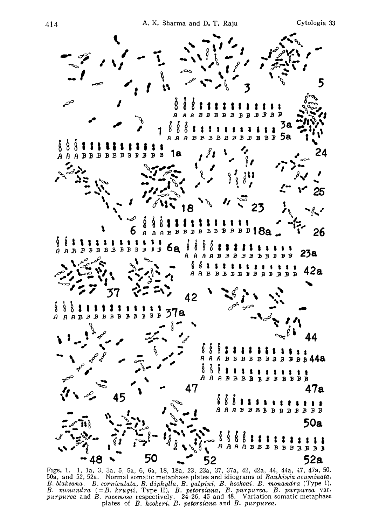

Figs. 1. 1, 1a, 3, 3a, 5, 5a, 6, 6a, 18, 18a, 23, 23a, 37, 37a, 42, 42a, 44, 44a, 47, 47a, 50, 50a, and 52, 52a. Normal somatic metaphase plates and idiograms of Bauhinia acuminata, B. blakeana, B. corniculata, B. diphylla, B. galpini, B. hookeai, B. monandra (Type 1), B. monandra  $(=B. \; krugii, \; Type \; II), \; B. \; petersiana, \; B. \; purpurea, \; B. \; purpurea \; var.$ purpurea and B. racemosa respectively. 24-26, 45 and 48. Variation somatic metapha plates of  $B.$  hookeri,  $B.$  petersiana and  $B.$  purpur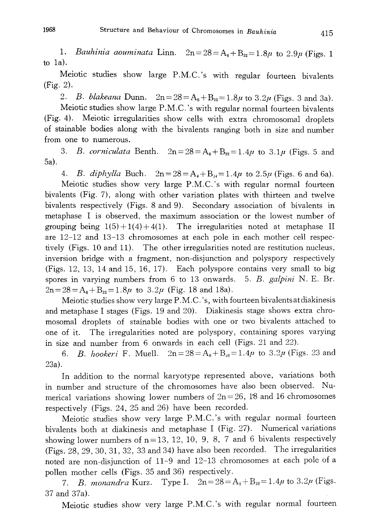1. Bauhinia aouminata Linn.  $2n=28=A_6+B_{22}=1.8\mu$  to  $2.9\mu$  (Figs. 1) to 1a).

Meiotic studies show large P.M.C.'s with regular fourteen bivalents (Fig. 2).

2. B. blakeana Dunn.  $2n = 28 = A_6 + B_{22} = 1.8\mu$  to  $3.2\mu$  (Figs. 3 and 3a).

Meiotic studies show large P.M.C.'s with regular normal fourteen bivalents (Fig. 4). Meiotic irregularities show cells with extra chromosomal droplets of stainable bodies along with the bivalents ranging both in size and number from one to numerous.

3. B. corniculata Benth.  $2n=28=A_6+B_{22}=1.4\mu$  to  $3.1\mu$  (Figs. 5 and 5a).

4. B. diphylla Buch.  $2n = 28 = A_4 + B_4 = 1.4\mu$  to  $2.5\mu$  (Figs. 6 and 6a). Meiotic studies show very large P.M.C.'s with regular normal fourteen bivalents (Fig. 7), along with other variation plates with thirteen and twelve bivalents respectively (Figs. 8 and 9). Secondary association of bivalents in metaphase I is observed, the maximum association or the lowest number of grouping being  $1(5)+1(4)+4(1)$ . The irregularities noted at metaphase II are 12-12 and 13-13 chromosomes at each pole in each mother cell respec tively (Figs. 10 and 11). The other irregularities noted are restitution nucleus, inversion bridge with a fragment, non-disjunction and polyspory respectively (Figs. 12, 13, 14 and 15, 16, 17). Each polyspore contains very small to big spores in varying numbers from 6 to 13 onwards. 5. B. galpini N. E. Br.  $2n=28=A_6+B_{22}=1.8\mu$  to  $3.2\mu$  (Fig. 18 and 18a).

Meiotic studies show very large P. M. C.'s, with fourteen bivalents at diakinesis and metaphase I stages (Figs. 19 and 20). Diakinesis stage shows extra chro mosomal droplets of stainable bodies with one or two bivalents attached to one of it. The irregularities noted are polyspory, containing spores varying in size and number from 6 onwards in each cell (Figs. 21 and 22).

6. *B. hookeri* F. Muell.  $2n = 28 = A_8 + B_9 = 1.4\mu$  to 3.2 $\mu$  (Figs. 23 and 23a).

In addition to the normal karyotype represented above, variations both in number and structure of the chromosomes have also been observed. Nu merical variations showing lower numbers of  $2n=26$ , 18 and 16 chromosomes respectively (Figs. 24, 25 and 26) have been recorded.

Meiotic studies show very large P.M.C.'s with regular normal fourteen bivalents both at diakinesis and metaphase I (Fig. 27). Numerical variations showing lower numbers of  $n=13$ , 12, 10, 9, 8, 7 and 6 bivalents respectively (Figs. 28, 29, 30, 31, 32, 33 and 34) have also been recorded. The irregularities noted are non-disjunction of 11-9 and 12-13 chromosomes at each pole of a pollen mother cells (Figs. 35 and 36) respectively.

7. B. monandra Kurz. Type I.  $2n = 28 = A_3 + B_{22} = 1.4\mu$  to  $3.2\mu$  (Figs. 37 and 37a).

Meiotic studies show very large P.M.C.'s with regular normal fourteen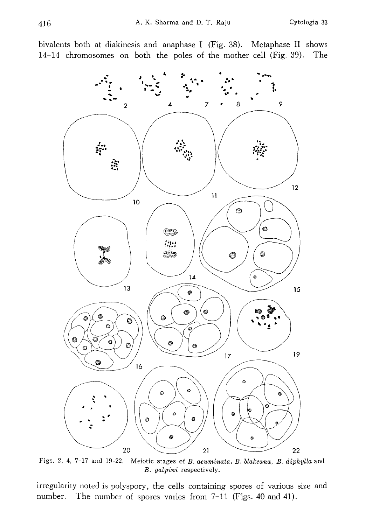bivalents both at diakinesis and anaphase I (Fig. 38). Metaphase II shows 14-14 chromosomes on both the poles of the mother cell (Fig. 39). The



Figs. 2, 4, 7-17 and 19-22. Meiotic stages of B. acuminata, B. blakeana, B. diphylla and B. galpini respectively.

irregularity noted is polyspory, the cells containing spores of various size and number. The number of spores varies from 7-11 (Figs. 40 and 41).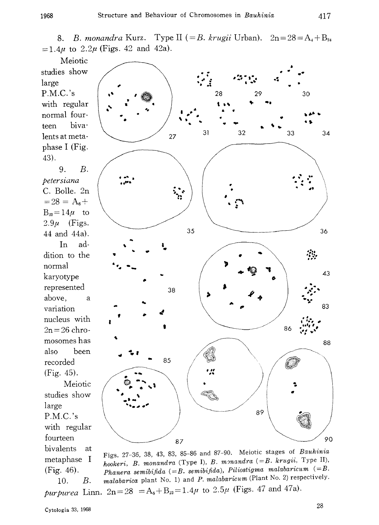8. B. monandra Kurz. Type II (= B. krugii Urban).  $2n = 28 = A_4 + B_2$  $=1.4\mu$  to  $2.2\mu$  (Figs. 42 and 42a).

Meiotic studies show large P.M.C.'s with regular normal four teen biva lents at meta phase I (Fig. 43).

9. B. petersiana C. Bolle. 2n  $=28=A_6+$  $B_{22}=14\mu$  to  $2.9\mu$  (Figs. 44 and 44a). In ad dition to the normal karyotype represented above, a variation nucleus with  $2n=26$  chromosomes has also been recorded (Fig. 45). Meiotic studies show large P.M.C.'s with regular fourteen bivalents at metaphase I



Figs. 27-36, 38, 43, 83, 85-86 and 87-90. Meiotic stages of Bauhinia hookeri, B. monandra (Type I), B. monandra (=B. krugii, Type II), Phanera semibifida (=B. semibifida), Piliostigma malabaricum (=B. malabarica plant No. 1) and P. malabaricum (Plant No. 2) respectively.

purpurea Linn.  $2n=28 = A_6+B_{22}=1.4\mu$  to  $2.5\mu$  (Figs. 47 and 47a).

10. B.

(Fig. 46).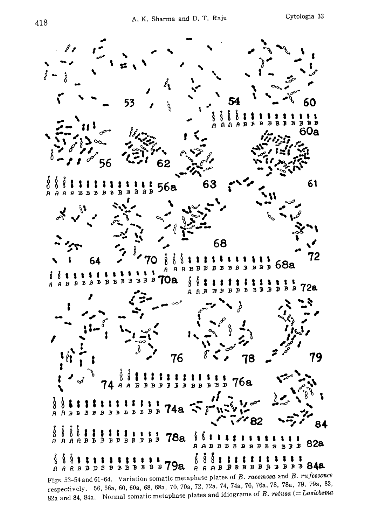

Figs. 53-54 and 61-64. Variation somatic metaphase plates of B. racemosa and B. rufescence respectively. 56, 56a, 60, 60a, 68, 68a, 70, 70a, 72, 72a, 74, 74a, 76, 76a, 78, 78a, 79, 79a, 82, 82a and 84, 84a. Normal somatic metaphase plates and idiograms of  $B$ . retusa (= Lasiobema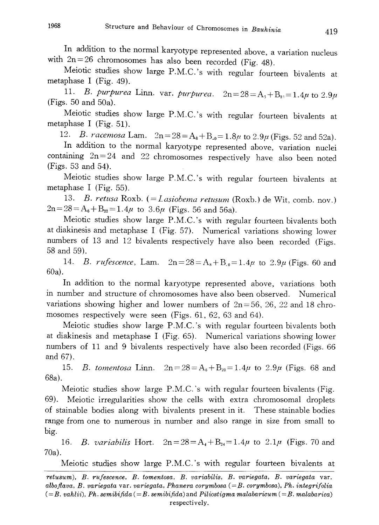In addition to the normal karyotype represented above, a variation nucl with  $2n = 26$  chromosomes has also been recorded (Fig. 48)

Meiotic studies show large P.M.C.'s with regular fourteen bivalents at metaphase I (Fig. 49).

11. B. purpurea Linn. var. purpurea.  $2n = 28 = A_s + B_s = 1.4\mu$  to 2.9 (Figs. 50 and 50a).

Meiotic studies show large P.M.C.'s with regular fourteen bivalents at metaphase I (Fig. 51).

12. *B. racemosa* Lam.  $2n = 28 = A_8 + B_{00} = 1.8\mu$  to  $2.9\mu$  (Figs. 52 and 52a).

In addition to the normal karyotype represented above, variation nuc containing  $2n=24$  and  $22$  chromosomes respectively have also been noted (Figs. 53 and 54).

Meiotic studies show large P.M.C.'s with regular fourteen bivalents at metaphase I (Fig. 55).

13. B. retusa Roxb. (= Lasiobema retusum (Roxb.) de Wit, comb. nov.)  $2n = 28 = A_6 + B_{22} = 1.4\mu$  to  $3.6\mu$  (Figs. 56 and 56a).

Meiotic studies show large P.M.C.'s with regular fourteen bivalents both at diakinesis and metaphase I (Fig. 57). Numerical variations showing lower numbers of 13 and 12 bivalents respectively have also been recorded (Figs . 58 and 59).

14. *B. rufescence*, Lam.  $2n = 28 = A_8 + B_0 = 1.4\mu$  to  $2.9\mu$  (Figs. 60 and 60a).

In addition to the normal karyotype represented above, variations both in number and structure of chromosomes have also been observed. Numerical variations showing higher and lower numbers of  $2n = 56, 26, 22$  and 18 ch mosomes respectively were seen (Figs. 61, 62, 63 and 64).

Meiotic studies show large P.M.C.'s with regular fourteen bivalents both at diakinesis and metaphase I (Fig. 65). Numerical variations showing lower numbers of 11 and 9 bivalents respectively have also been recorded (Figs. 66 and 67).

15. *B. tomentosa* Linn.  $2n = 28 = A_6 + B_{22} = 1.4\mu$  to  $2.9\mu$  (Figs. 68 and 68a).

Meiotic studies show large  $P.M.C.'s$  with regular fourteen bivalents (Fig. 69). Meiotic irregularities show the cells with extra chromosomal droplets of stainable bodies along with bivalents present in it. These stainable bodies range from one to numerous in number and also range in size from small to big.

16. B. variabilis Hort.  $2n=28=A_4+B_{24}=1.4\mu$  to  $2.1\mu$  (Figs. 70 and 70a).

Meiotic studies show large P.M.C.'s with regular fourteen bivalents at

retusum), B. rufescence, B. tomentosa, B. variabilis, B. variegate, B. variegate var. alboflava, B. variegata var. variegata, Phanera corymbosa  $(=B.$  corymbosa), Ph. integrifolia  $(=B. vahlii)$ , Ph. semibifida  $(=B. semibi fida)$  and Piliostigma malabaricum  $(=B. malabarica)$ respectively.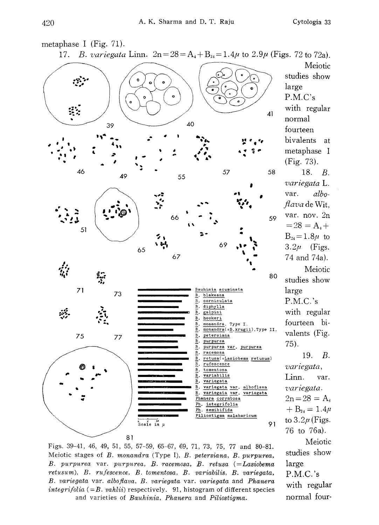

Figs. 39-41, 46, 49, 51, 55, 57-59, 65-67, 69, 71, 73, 75, 77 and 80-81. Meiotic stages of B. monandra (Type I), B. petersiana, B. purpurea, B. purpurea var. purpurea, B. racemosa, B. retusa (=Lasiobema retusum), B. rufescence, B. tomentosa, B. variabilis, B. variegata, B. variegata var. alboflava, B. variegata var. variegata and Phanera integrifolia (=B. vahlii) respectively. 91, histogram of different species and varieties of Bauhinia, Phanera and Piliostigma.

19. B. Meiotic studies show large P.M.C.'s with regular normal four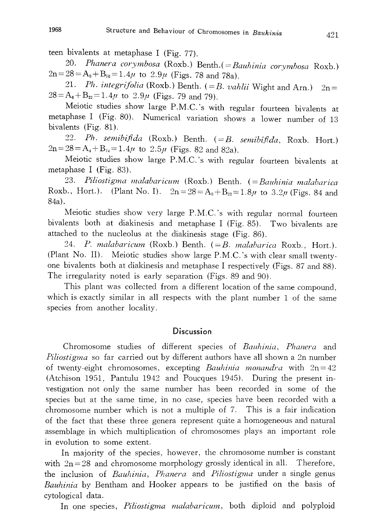teen bivalents at metaphase I (Fig. 77) .

20. Phanera corymbosa (Roxb.) Benth. (= Bauhinia corymbosa Rox  $2n = 28 = A_s + B_{20} = 1.4\mu$  to  $2.9\mu$  (Figs. 78 and 78a).

21. Ph. integrifolia (Roxb.) Benth.  $(=B. vahlii$  Wight and Arn.)  $2n=$  $28 = A_6 + B_{22} = 1.4\mu$  to  $2.9\mu$  (Figs. 79 and 79).

Meiotic studies show large P. M. C.'s with regular fourteen bivalents at metaphase I (Fig. 80). Numerical variation shows a lower number of 13 bivalents (Fig. 81).

22. Ph. semibifida (Roxb.) Benth.  $(=B.$  semibifida, Roxb. Hort.)  $2n = 28 = A_4 + B_{24} = 1.4\mu$  to  $2.5\mu$  (Figs. 82 and 82a).

Meiotic studies show large P.M.C.'s with regular fourteen bivalents at metaphase I (Fig. 83).

23. Piliostignaa malabaricum (Roxb.) Benth. (=Bauhinia malabarica Roxb., Hort.). (Plant No. 1).  $2n = 28 = A_0 + B_{22} = 1.8\mu$  to  $3.2\mu$  (Figs. 84 and 84a).

Meiotic studies show very large P.M.C.'s with regular normal fourteen bivalents both at diakinesis and metaphase I (Fig. 85). Two bivalents are attached to the nucleolus at the diakinesis stage (Fig. 86).

24. P. malabaricum (Roxb.) Benth. (=B. malabarica Roxb., Hort.). (Plant No. II). Meiotic studies show large P.M.C.'s with clear small twentyone bivalents both at diakinesis and metaphase I respectively (Figs. 87 and 88) . The irregularity noted is early separation (Figs. 89 and 90).

This plant was collected from a different location of the same compound, which is exactly similar in all respects with the plant number 1 of the same species from another locality.

#### **Discussion**

Chromosome studies of different species of Bauhinia, Phanera and Piliostigma so far carried out by different authors have all shown a 2n number of twenty-eight chromosomes, excepting *Bauhinia monandra* with  $2n=42$ (Atchison 1951, Pantulu 1942 and Poucques 1945). During the present in vestigation not only the same number has been recorded in some of the species but at the same time, in no case, species have been recorded with a chromosome number which is not a multiple of 7. This is a fair indication of the fact that these three genera represent quite a homogeneous and natural assemblage in which multiplication of chromosomes plays an important role in evolution to some extent.

In majority of the species, however, the chromosome number is constant with  $2n=28$  and chromosome morphology grossly identical in all. Therefore, the inclusion of Bauhinia, Phanera and Piliostigma under a single genus Bauhinia by Bentham and Hooker appears to be justified on the basis of cytological data.

In one species, *Piliostigma malabaricum*, both diploid and polyploid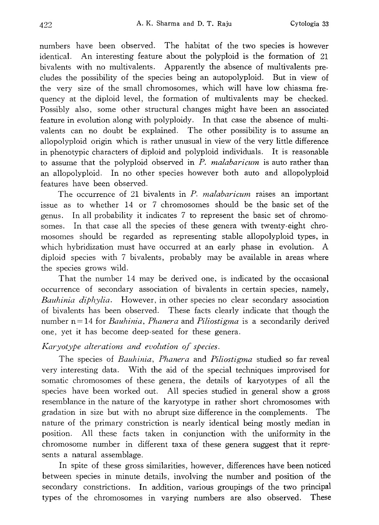numbers have been observed. The habitat of the two species is however identical. An interesting feature about the polyploid is the formation of 21 bivalents with no multivalents. Apparently the absence of multivalents pre cludes the possibility of the species being an autopolyploid. But in view of the very size of the small chromosomes, which will have low chiasma fre quency at the diploid level, the formation of multivalents may be checked. Possibly also, some other structural changes might have been an associated feature in evolution along with polyploidy. In that case the absence of multi valents can no doubt be explained. The other possibility is to assume an allopolyploid origin which is rather unusual in view of the very little difference in phenotypic characters of diploid and polyploid individuals. It is reasonable to assume that the polyploid observed in P. malabaricum is auto rather than an allopolyploid. In no other species however both auto and allopolyploid features have been observed.

The occurrence of 21 bivalents in  $P$ . *malabaricum* raises an important issue as to whether 14 or 7 chromosomes should be the basic set of the genus. In all probability it indicates 7 to represent the basic set of chromo somes. In that case all the species of these genera with twenty-eight chro mosomes should be regarded as representing stable allopolyploid types, in which hybridization must have occurred at an early phase in evolution. A diploid species with 7 bivalents, probably may be available in areas where the species grows wild.

That the number 14 may be derived one, is indicated by the occasional occurrence of secondary association of bivalents in certain species, namely, Bauhinia diphylia. However, in other species no clear secondary association of bivalents has been observed. These facts clearly indicate that though the number  $n=14$  for Bauhinia, Phanera and Piliostigma is a secondarily derived one, yet it has become deep-seated for these genera.

## Karyotype alterations and evolution of species.

The species of Bauhinia, Phanera and Piliostigma studied so far reveal very interesting data. With the aid of the special techniques improvised for somatic chromosomes of these genera, the details of karyotypes of all the species have been worked out. All species studied in general show a gross resemblance in the nature of the karyotype in rather short chromosomes with gradation in size but with no abrupt size difference in the complements. The nature of the primary constriction is nearly identical being mostly median in position. All these facts taken in conjunction with the uniformity in the chromosome number in different taxa of these genera suggest that it repre sents a natural assemblage.

In spite of these gross similarities, however, differences have been noticed between species in minute details, involving the number and position of the secondary constrictions. In addition, various groupings of the two principal types of the chromosomes in varying numbers are also observed. These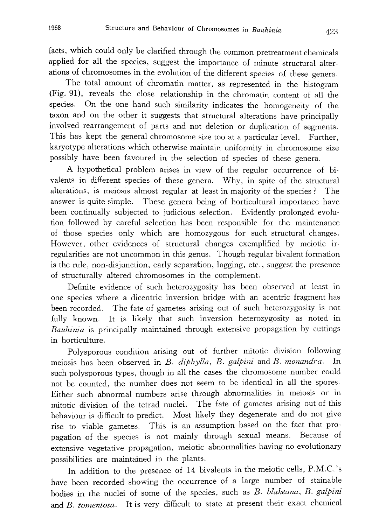facts, which could only be clarified through the common pretreatment chemicals applied for all the species, suggest the importance of minute structural alter ations of chromosomes in the evolution of the different species of these genera .

The total amount of chromatin matter , as represented in the histogram (Fig. 91), reveals the close relationship in the chromatin content of all the species. On the one hand such similarity indicates the homogeneity of the taxon and on the other it suggests that structural alterations have principally involved rearrangement of parts and not deletion or duplication of segments. This has kept the general chromosome size too at a particular level. Further, karyotype alterations which otherwise maintain uniformity in chromosome size possibly have been favoured in the selection of species of these genera.

A hypothetical problem arises in view of the regular occurrence of bi valents in different species of these genera. Why, in spite of the structural alterations, is meiosis almost regular at least in majority of the species? The answer is quite simple. These genera being of horticultural importance have been continually subjected to judicious selection. Evidently prolonged evolu tion followed by careful selection has been responsible for the maintenance of those species only which are homozygous for such structural changes. However, other evidences of structural changes exemplified by meiotic ir regularities are not uncommon in this genus. Though regular bivalent formation is the rule, non-disjunction, early separation, lagging, etc., suggest the presence of structurally altered chromosomes in the complement.

Definite evidence of such heterozygosity has been observed at least in one species where a dicentric inversion bridge with an acentric fragment has been recorded. The fate of gametes arising out of such heterozygosity is not fully known. It is likely that such inversion heterozygosity as noted in Bauhinia is principally maintained through extensive propagation by cuttings in horticulture.

Polysporous condition arising out of further mitotic division following meiosis has been observed in B. diphylla, B. galpini and B. monandra. In such polysporous types, though in all the cases the chromosome number could not be counted, the number does not seem to be identical in all the spores. Either such abnormal numbers arise through abnormalities in meiosis or in mitotic division of the tetrad nuclei. The fate of gametes arising out of this behaviour is difficult to predict. Most likely they degenerate and do not give rise to viable gametes. This is an assumption based on the fact that pro pagation of the species is not mainly through sexual means. Because of extensive vegetative propagation, meiotic abnormalities having no evolutionary possibilities are maintained in the plants.

In addition to the presence of 14 bivalents in the meiotic cells, P.M.C.'s have been recorded showing the occurrence of a large number of stainable bodies in the nuclei of some of the species, such as B. blakeana, B. galpini and B. tomentosa. It is very difficult to state at present their exact chemical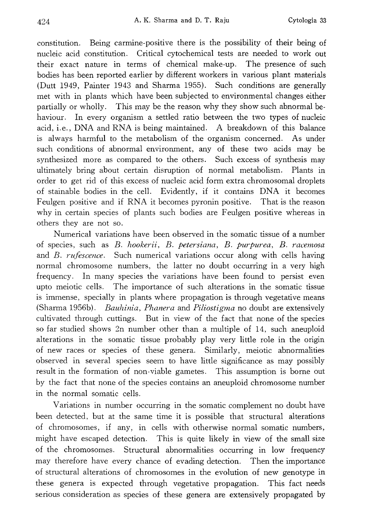constitution. Being carmine-positive there is the possibility of their being of nucleic acid constitution. Critical cytochemical tests are needed to work out their exact nature in terms of chemical make-up. The presence of such bodies has been reported earlier by different workers in various plant materials (Dutt 1949, Painter 1943 and Sharma 1955). Such conditions are generally met with in plants which have been subjected to environmental changes either partially or wholly. This may be the reason why they show such abnormal be haviour. In every organism a settled ratio between the two types of nucleic acid, i.e., DNA and RNA is being maintained. A breakdown of this balance is always harmful to the metabolism of the organism concerned. As under such conditions of abnormal environment, any of these two acids may be synthesized more as compared to the others. Such excess of synthesis may ultimately bring about certain disruption of normal metabolism. Plants in order to get rid of this excess of nucleic acid form extra chromosomal droplets of stainable bodies in the cell. Evidently, if it contains DNA it becomes Feulgen positive and if RNA it becomes pyronin positive. That is the reason why in certain species of plants such bodies are Feulgen positive whereas in others they are not so.

Numerical variations have been observed in the somatic tissue of a number of species, such as B. hookerii, B. petersiana, B. purpurea, B. racemosa and B. rufescence. Such numerical variations occur along with cells having normal chromosome numbers, the latter no doubt occurring in a very high frequency. In many species the variations have been found to persist even upto meiotic cells. The importance of such alterations in the somatic tissue is immense, specially in plants where propagation is through vegetative means (Sharma 1956b). Bauhinia, Phanera and Piliostigma no doubt are extensively cultivated through cuttings. But in view of the fact that none of the species so far studied shows 2n number other than a multiple of 14, such aneuploid alterations in the somatic tissue probably play very little role in the origin of new races or species of these genera. Similarly, meiotic abnormalities observed in several species seem to have little significance as may possibly result in the formation of non-viable gametes. This assumption is borne out by the fact that none of the species contains an aneuploid chromosome number in the normal somatic cells.

Variations in number occurring in the somatic complement no doubt have been detected, but at the same time it is possible that structural alterations of chromosomes, if any, in cells with otherwise normal somatic numbers, might have escaped detection. This is quite likely in view of the small size of the chromosomes. Structural abnormalities occurring in low frequency may therefore have every chance of evading detection. Then the importance of structural alterations of chromosomes in the evolution of new genotype in these genera is expected through vegetative propagation. This fact needs serious consideration as species of these genera are extensively propagated by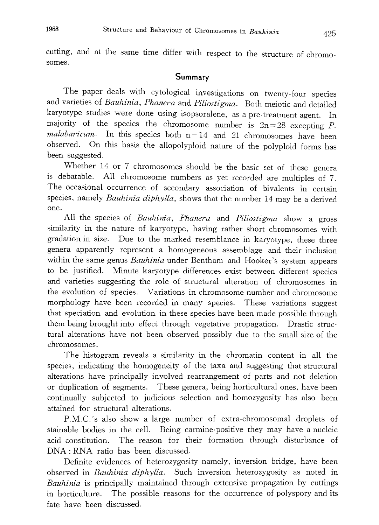cutting, and at the same time differ with respect to the structure of chromo somes.

## Summary

The paper deals with cytological investigations on twenty -four species and varieties of Bauhinia, Phanera and Piliostigma. Both meiotic and detailed karyotype studies were done using isopsoralene , as a pre-treatment agent. In majority of the species the chromosome number is  $2n=28$  excepting P. malabaricum. In this species both  $n=14$  and 21 chromosomes have been observed. On this basis the allopolyploid nature of the polyploid forms has been suggested.

Whether 14 or 7 chromosomes should be the basic set of these genera is debatable. All chromosome numbers as yet recorded are multiples of 7. The occasional occurrence of secondary association of bivalents in certain species, namely Bauhinia diphylla, shows that the number 14 may be a derived one.

All the species of *Bauhinia*, *Phanera* and *Piliostigma* show a gross similarity in the nature of karyotype, having rather short chromosomes with gradation in size. Due to the marked resemblance in karyotype, these three genera apparently represent a homogeneous assemblage and their inclusion within the same genus *Bauhinia* under Bentham and Hooker's system appears to be justified. Minute karyotype differences exist between different species and varieties suggesting the role of structural alteration of chromosomes in the evolution of species. Variations in chromosome number and chromosome morphology have been recorded in many species. These variations suggest that speciation and evolution in these species have been made possible through them being brought into effect through vegetative propagation. Drastic struc tural alterations have not been observed possibly due to the small size of the chromosomes.

The histogram reveals a similarity in the chromatin content in all the species, indicating the homogeneity of the taxa and suggesting that structural alterations have principally involved rearrangement of parts and not deletion or duplication of segments. These genera, being horticultural ones, have been continually subjected to judicious selection and homozygosity has also been attained for structural alterations.

P. M. C.'s also show a large number of extra-chromosomal droplets of stainable bodies in the cell. Being carmine-positive they may have a nucleic acid constitution. The reason for their formation through disturbance of DNA: RNA ratio has been discussed.

Definite evidences of heterozygosity namely, inversion bridge, have been observed in *Bauhinia diphylla*. Such inversion heterozygosity as noted in Bauhinia is principally maintained through extensive propagation by cuttings in horticulture. The possible reasons for the occurrence of polyspory and its fate have been discussed.